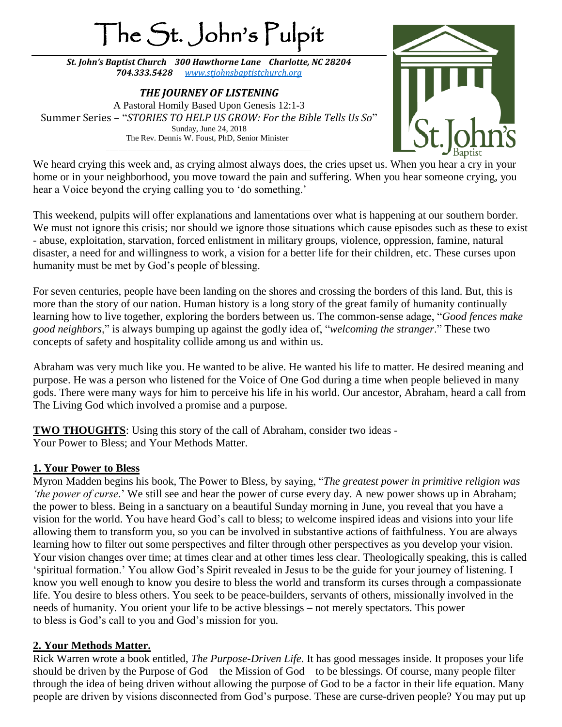# The St. John's Pulpit

*St. John's Baptist Church 300 Hawthorne Lane Charlotte, NC 28204 704.333.5428 [www.stjohnsbaptistchurch.org](http://www.stjohnsbaptistchurch.org/)*

*THE JOURNEY OF LISTENING* A Pastoral Homily Based Upon Genesis 12:1-3 Summer Series – "*STORIES TO HELP US GROW: For the Bible Tells Us So*" Sunday, June 24, 2018 The Rev. Dennis W. Foust, PhD, Senior Minister \_\_\_\_\_\_\_\_\_\_\_\_\_\_\_\_\_\_\_\_\_\_\_\_\_\_\_\_\_\_\_\_\_\_\_\_\_\_\_\_\_\_\_\_\_\_\_\_\_\_\_\_\_\_\_\_\_\_\_\_\_\_\_\_\_\_\_



We heard crying this week and, as crying almost always does, the cries upset us. When you hear a cry in your home or in your neighborhood, you move toward the pain and suffering. When you hear someone crying, you hear a Voice beyond the crying calling you to 'do something.'

This weekend, pulpits will offer explanations and lamentations over what is happening at our southern border. We must not ignore this crisis; nor should we ignore those situations which cause episodes such as these to exist - abuse, exploitation, starvation, forced enlistment in military groups, violence, oppression, famine, natural disaster, a need for and willingness to work, a vision for a better life for their children, etc. These curses upon humanity must be met by God's people of blessing.

For seven centuries, people have been landing on the shores and crossing the borders of this land. But, this is more than the story of our nation. Human history is a long story of the great family of humanity continually learning how to live together, exploring the borders between us. The common-sense adage, "*Good fences make good neighbors*," is always bumping up against the godly idea of, "*welcoming the stranger*." These two concepts of safety and hospitality collide among us and within us.

Abraham was very much like you. He wanted to be alive. He wanted his life to matter. He desired meaning and purpose. He was a person who listened for the Voice of One God during a time when people believed in many gods. There were many ways for him to perceive his life in his world. Our ancestor, Abraham, heard a call from The Living God which involved a promise and a purpose.

**TWO THOUGHTS**: Using this story of the call of Abraham, consider two ideas - Your Power to Bless; and Your Methods Matter.

### **1. Your Power to Bless**

Myron Madden begins his book, The Power to Bless, by saying, "*The greatest power in primitive religion was 'the power of curse*.' We still see and hear the power of curse every day. A new power shows up in Abraham; the power to bless. Being in a sanctuary on a beautiful Sunday morning in June, you reveal that you have a vision for the world. You have heard God's call to bless; to welcome inspired ideas and visions into your life allowing them to transform you, so you can be involved in substantive actions of faithfulness. You are always learning how to filter out some perspectives and filter through other perspectives as you develop your vision. Your vision changes over time; at times clear and at other times less clear. Theologically speaking, this is called 'spiritual formation.' You allow God's Spirit revealed in Jesus to be the guide for your journey of listening. I know you well enough to know you desire to bless the world and transform its curses through a compassionate life. You desire to bless others. You seek to be peace-builders, servants of others, missionally involved in the needs of humanity. You orient your life to be active blessings – not merely spectators. This power to bless is God's call to you and God's mission for you.

### **2. Your Methods Matter.**

Rick Warren wrote a book entitled, *The Purpose-Driven Life*. It has good messages inside. It proposes your life should be driven by the Purpose of God – the Mission of God – to be blessings. Of course, many people filter through the idea of being driven without allowing the purpose of God to be a factor in their life equation. Many people are driven by visions disconnected from God's purpose. These are curse-driven people? You may put up